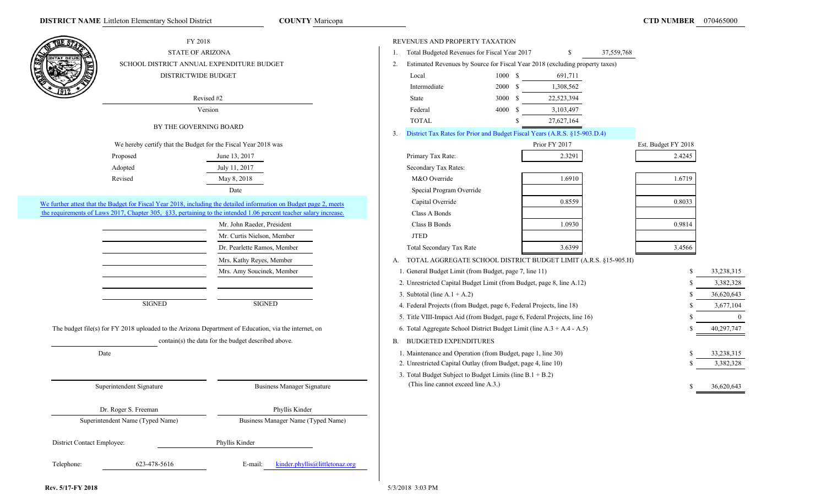**COUNTY Maricopa** 

|                            | FY 2018                                                        |                                                                                                                    |    | REVENUES AND PROPERTY TAXATION                                        |         |                                                                              |            |                     |            |
|----------------------------|----------------------------------------------------------------|--------------------------------------------------------------------------------------------------------------------|----|-----------------------------------------------------------------------|---------|------------------------------------------------------------------------------|------------|---------------------|------------|
|                            | <b>STATE OF ARIZONA</b>                                        |                                                                                                                    | 1. | Total Budgeted Revenues for Fiscal Year 2017                          |         | \$                                                                           | 37,559,768 |                     |            |
|                            | SCHOOL DISTRICT ANNUAL EXPENDITURE BUDGET                      |                                                                                                                    | 2. |                                                                       |         | Estimated Revenues by Source for Fiscal Year 2018 (excluding property taxes) |            |                     |            |
|                            | <b>DISTRICTWIDE BUDGET</b>                                     |                                                                                                                    |    | Local                                                                 | 1000 S  | 691,711                                                                      |            |                     |            |
|                            |                                                                |                                                                                                                    |    | Intermediate                                                          | 2000 \$ | 1,308,562                                                                    |            |                     |            |
|                            |                                                                | Revised #2                                                                                                         |    | State                                                                 | 3000 \$ | 22,523,394                                                                   |            |                     |            |
|                            |                                                                | Version                                                                                                            |    | Federal                                                               | 4000 \$ | 3,103,497                                                                    |            |                     |            |
|                            |                                                                |                                                                                                                    |    | <b>TOTAL</b>                                                          |         | 27,627,164                                                                   |            |                     |            |
|                            | BY THE GOVERNING BOARD                                         |                                                                                                                    | 3. |                                                                       |         | District Tax Rates for Prior and Budget Fiscal Years (A.R.S. §15-903.D.4)    |            |                     |            |
|                            | We hereby certify that the Budget for the Fiscal Year 2018 was |                                                                                                                    |    |                                                                       |         | Prior FY 2017                                                                |            | Est. Budget FY 2018 |            |
|                            | Proposed                                                       | June 13, 2017                                                                                                      |    | Primary Tax Rate:                                                     |         | 2.3291                                                                       |            | 2.4245              |            |
|                            | Adopted                                                        | July 11, 2017                                                                                                      |    | Secondary Tax Rates:                                                  |         |                                                                              |            |                     |            |
|                            | Revised                                                        | May 8, 2018                                                                                                        |    | M&O Override                                                          |         | 1.6910                                                                       |            | 1.6719              |            |
|                            |                                                                | Date                                                                                                               |    | Special Program Override                                              |         |                                                                              |            |                     |            |
|                            |                                                                | We further attest that the Budget for Fiscal Year 2018, including the detailed information on Budget page 2, meets |    | Capital Override                                                      |         | 0.8559                                                                       |            | 0.8033              |            |
|                            |                                                                | the requirements of Laws 2017, Chapter 305, §33, pertaining to the intended 1.06 percent teacher salary increase.  |    | Class A Bonds                                                         |         |                                                                              |            |                     |            |
|                            |                                                                | Mr. John Raeder, President                                                                                         |    | Class B Bonds                                                         |         | 1.0930                                                                       |            | 0.9814              |            |
|                            |                                                                | Mr. Curtis Nielson, Member                                                                                         |    | <b>JTED</b>                                                           |         |                                                                              |            |                     |            |
|                            |                                                                | Dr. Pearlette Ramos, Member                                                                                        |    | Total Secondary Tax Rate                                              |         | 3.6399                                                                       |            | 3.4566              |            |
|                            |                                                                | Mrs. Kathy Reyes, Member                                                                                           |    |                                                                       |         | A. TOTAL AGGREGATE SCHOOL DISTRICT BUDGET LIMIT (A.R.S. §15-905.H)           |            |                     |            |
|                            |                                                                | Mrs. Amy Soucinek, Member                                                                                          |    | 1. General Budget Limit (from Budget, page 7, line 11)                |         |                                                                              |            |                     | 33,238,315 |
|                            |                                                                |                                                                                                                    |    | 2. Unrestricted Capital Budget Limit (from Budget, page 8, line A.12) |         |                                                                              |            |                     | 3,382,328  |
|                            |                                                                |                                                                                                                    |    | 3. Subtotal (line $A.1 + A.2$ )                                       |         |                                                                              |            |                     | 36,620,643 |
|                            | <b>SIGNED</b>                                                  | SIGNED                                                                                                             |    | 4. Federal Projects (from Budget, page 6, Federal Projects, line 18)  |         |                                                                              |            |                     | 3,677,104  |
|                            |                                                                |                                                                                                                    |    |                                                                       |         | 5. Title VIII-Impact Aid (from Budget, page 6, Federal Projects, line 16)    |            |                     |            |
|                            |                                                                | The budget file(s) for FY 2018 uploaded to the Arizona Department of Education, via the internet, on               |    |                                                                       |         | 6. Total Aggregate School District Budget Limit (line A.3 + A.4 - A.5)       |            |                     | 40,297,747 |
|                            |                                                                | contain(s) the data for the budget described above.                                                                | В. | <b>BUDGETED EXPENDITURES</b>                                          |         |                                                                              |            |                     |            |
|                            | Date                                                           |                                                                                                                    |    | 1. Maintenance and Operation (from Budget, page 1, line 30)           |         |                                                                              |            |                     | 33,238,315 |
|                            |                                                                |                                                                                                                    |    | 2. Unrestricted Capital Outlay (from Budget, page 4, line 10)         |         |                                                                              |            |                     | 3,382,328  |
|                            |                                                                |                                                                                                                    |    | 3. Total Budget Subject to Budget Limits (line B.1 + B.2)             |         |                                                                              |            |                     |            |
|                            | Superintendent Signature                                       | <b>Business Manager Signature</b>                                                                                  |    | (This line cannot exceed line A.3.)                                   |         |                                                                              |            |                     | 36,620,643 |
|                            |                                                                |                                                                                                                    |    |                                                                       |         |                                                                              |            |                     |            |
|                            | Dr. Roger S. Freeman                                           | Phyllis Kinder                                                                                                     |    |                                                                       |         |                                                                              |            |                     |            |
|                            | Superintendent Name (Typed Name)                               | Business Manager Name (Typed Name)                                                                                 |    |                                                                       |         |                                                                              |            |                     |            |
| District Contact Employee: |                                                                | Phyllis Kinder                                                                                                     |    |                                                                       |         |                                                                              |            |                     |            |
| Telephone:                 | 623-478-5616                                                   | kinder.phyllis@littletonaz.org<br>E-mail:                                                                          |    |                                                                       |         |                                                                              |            |                     |            |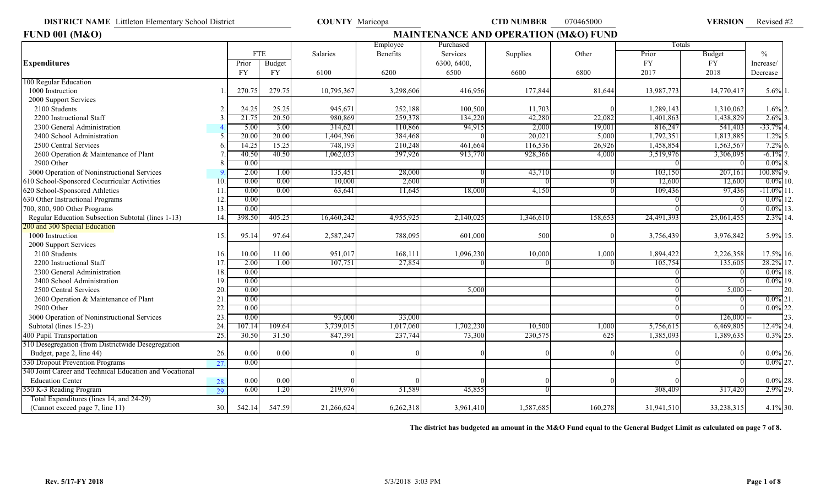**DISTRICT NAME** Littleton Elementary School District **COUNTY** Maricopa **COUNTY COUNTY Anticopa CTD NUMBER** 070465000 **VERSION** 

Revised #2

| <b>FUND 001 (M&amp;O)</b>                               |     |           |            |            |           |             | <b>MAINTENANCE AND OPERATION (M&amp;O) FUND</b> |         |            |            |               |
|---------------------------------------------------------|-----|-----------|------------|------------|-----------|-------------|-------------------------------------------------|---------|------------|------------|---------------|
|                                                         |     |           |            |            | Employee  | Purchased   |                                                 |         | Totals     |            |               |
|                                                         |     |           | <b>FTE</b> | Salaries   | Benefits  | Services    | Supplies                                        | Other   | Prior      | Budget     | $\frac{0}{0}$ |
| <b>Expenditures</b>                                     |     | Prior     | Budget     |            |           | 6300, 6400, |                                                 |         | <b>FY</b>  | <b>FY</b>  | Increase/     |
|                                                         |     | <b>FY</b> | <b>FY</b>  | 6100       | 6200      | 6500        | 6600                                            | 6800    | 2017       | 2018       | Decrease      |
| 100 Regular Education                                   |     |           |            |            |           |             |                                                 |         |            |            |               |
| 1000 Instruction                                        |     | 270.75    | 279.75     | 10,795,367 | 3,298,606 | 416,956     | 177,844                                         | 81,644  | 13,987,773 | 14,770,417 | $5.6\%$ 1     |
| 2000 Support Services                                   |     |           |            |            |           |             |                                                 |         |            |            |               |
| 2100 Students                                           |     | 24.25     | 25.25      | 945,671    | 252,188   | 100,500     | 11,703                                          |         | 1,289,143  | 1,310,062  | $1.6\%$ 2.    |
| 2200 Instructional Staff                                |     | 21.75     | 20.50      | 980,869    | 259,378   | 134,220     | 42,280                                          | 22,082  | 1,401,863  | 1,438,829  | 2.6%          |
| 2300 General Administration                             |     | 5.00      | 3.00       | 314,621    | 110,866   | 94,915      | 2,000                                           | 19,001  | 816,247    | 541,403    | $-33.7%$      |
| 2400 School Administration                              |     | 20.00     | 20.00      | 1,404,396  | 384,468   |             | 20,021                                          | 5,000   | 1,792,351  | 1,813,885  | 1.2%          |
| 2500 Central Services                                   |     | 14.25     | 15.25      | 748,193    | 210,248   | 461,664     | 116,536                                         | 26,926  | 1,458,854  | 1,563,567  | 7.2%          |
| 2600 Operation & Maintenance of Plant                   |     | 40.50     | 40.50      | 1,062,033  | 397,926   | 913,770     | 928,366                                         | 4,000   | 3,519,976  | 3,306,095  | $-6.1\%$      |
| 2900 Other                                              |     | 0.00      |            |            |           |             |                                                 |         |            |            | $0.0\%$       |
| 3000 Operation of Noninstructional Services             |     | 2.00      | 1.00       | 135,451    | 28,000    |             | 43,710                                          |         | 103,150    | 207,161    | 100.8%        |
| 610 School-Sponsored Cocurricular Activities            | 10  | 0.00      | 0.00       | 10,000     | 2,600     |             |                                                 |         | 12,600     | 12,600     | $0.0\%$ 10.   |
| 620 School-Sponsored Athletics                          | 11  | 0.00      | 0.00       | 63,641     | 11,645    | 18,000      | 4,150                                           |         | 109,436    | 97,436     | $-11.0%$      |
| 630 Other Instructional Programs                        | 12  | 0.00      |            |            |           |             |                                                 |         |            |            | $0.0\%$ 12.   |
| 700, 800, 900 Other Programs                            | 13  | 0.00      |            |            |           |             |                                                 |         |            |            | $0.0\%$ 13.   |
| Regular Education Subsection Subtotal (lines 1-13)      | 14  | 398.50    | 405.25     | 16,460,242 | 4,955,925 | 2,140,025   | 1,346,610                                       | 158,653 | 24,491,393 | 25,061,455 | 2.3% 14.      |
| 200 and 300 Special Education                           |     |           |            |            |           |             |                                                 |         |            |            |               |
| 1000 Instruction                                        | 15. | 95.14     | 97.64      | 2,587,247  | 788,095   | 601,000     | 500                                             |         | 3,756,439  | 3,976,842  | 5.9% 15.      |
| 2000 Support Services                                   |     |           |            |            |           |             |                                                 |         |            |            |               |
| 2100 Students                                           | 16. | 10.00     | 11.00      | 951,017    | 168,111   | 1,096,230   | 10,000                                          | 1,000   | 1,894,422  | 2,226,358  | 17.5% 16.     |
| 2200 Instructional Staff                                | 17  | 2.00      | 1.00       | 107,751    | 27,854    |             |                                                 |         | 105,754    | 135,605    | 28.2% 17      |
| 2300 General Administration                             | 18  | 0.00      |            |            |           |             |                                                 |         |            |            | $0.0\%$ 18.   |
| 2400 School Administration                              | 19  | 0.00      |            |            |           |             |                                                 |         |            |            | $0.0\%$ 19.   |
| 2500 Central Services                                   | 20  | 0.00      |            |            |           | 5,000       |                                                 |         |            | 5,000      | 20.           |
| 2600 Operation & Maintenance of Plant                   | 21  | 0.00      |            |            |           |             |                                                 |         |            |            | $0.0\%$ 21    |
| 2900 Other                                              | 22  | 0.00      |            |            |           |             |                                                 |         |            |            | $0.0\%$ 22    |
| 3000 Operation of Noninstructional Services             | 23  | 0.00      |            | 93,000     | 33,000    |             |                                                 |         |            | 126.000    | 23            |
| Subtotal (lines 15-23)                                  | 24  | 107.14    | 109.64     | 3,739,015  | 1,017,060 | 1,702,230   | 10,500                                          | 1,000   | 5,756,615  | 6,469,805  | 12.4% 24.     |
| 400 Pupil Transportation                                | 25  | 30.5(     | 31.50      | 847,391    | 237,744   | 73,300      | 230,575                                         | 625     | 1,385,093  | 1,389,635  | $0.3\%$ 25    |
| 510 Desegregation (from Districtwide Desegregation      |     |           |            |            |           |             |                                                 |         |            |            |               |
| Budget, page 2, line 44)                                | 26. | 0.00      | 0.00       |            |           |             |                                                 |         |            |            | $0.0\%$ 26.   |
| 530 Dropout Prevention Programs                         | 27  | 0.00      |            |            |           |             |                                                 |         |            |            | $0.0\%$ 27.   |
| 540 Joint Career and Technical Education and Vocational |     |           |            |            |           |             |                                                 |         |            |            |               |
| <b>Education Center</b>                                 | 28  | 0.00      | 0.00       |            |           |             |                                                 |         |            |            | $0.0\%$ 28.   |
| 550 K-3 Reading Program                                 | 29  | 6.00      | l.20       | 219,976    | 51,589    | 45,855      |                                                 |         | 308,409    | 317,420    | 2.9% 29.      |
| Total Expenditures (lines 14, and 24-29)                |     |           |            |            |           |             |                                                 |         |            |            |               |
| (Cannot exceed page 7, line 11)                         | 30. | 542.14    | 547.59     | 21,266,624 | 6,262,318 | 3,961,410   | 1,587,685                                       | 160,278 | 31,941,510 | 33,238,315 | 4.1% 30.      |

**The district has budgeted an amount in the M&O Fund equal to the General Budget Limit as calculated on page 7 of 8.**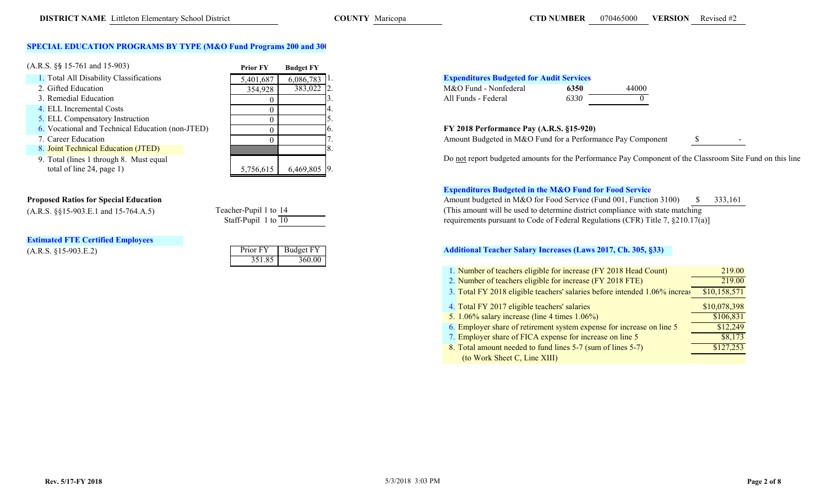# **COUNTY Maricopa 070 CTD NUMBER**

# **SPECIAL EDUCATION PROGRAMS BY TYPE (M&O Fund Programs 200 and 300**

| $(A.R.S. \S\$ 15-761 and 15-903)$                                                     | <b>Prior FY</b>   | <b>Budget FY</b>           |                     |
|---------------------------------------------------------------------------------------|-------------------|----------------------------|---------------------|
| 1. Total All Disability Classifications                                               | 5,401,687         | $6,086,783$ <sup>1</sup> . | <b>Expenditures</b> |
| 2. Gifted Education                                                                   | 354,928           | 383,022 2.                 | M&O Fund -          |
| 3. Remedial Education                                                                 |                   |                            | All Funds - Fe      |
| 4. ELL Incremental Costs                                                              |                   |                            |                     |
| 5. ELL Compensatory Instruction                                                       |                   |                            |                     |
| 6. Vocational and Technical Education (non-JTED)                                      |                   |                            | <b>FY 2018 Perf</b> |
| 7. Career Education                                                                   |                   |                            | <b>Amount Budg</b>  |
| 8. Joint Technical Education (JTED)                                                   |                   |                            |                     |
| 9. Total (lines 1 through 8. Must equal<br>$\text{total of line } 24 \text{ more } 1$ | $F = T F F + T F$ | (10000)                    | Do not report       |



# total of line 24, page 1)

|  |                                                                                                                 | <b>Estimated FTE Certified Employees</b> |
|--|-----------------------------------------------------------------------------------------------------------------|------------------------------------------|
|  | the contract of the contract of the contract of the contract of the contract of the contract of the contract of |                                          |

|  | $(A.R.S. §15-903.E.2)$ |
|--|------------------------|
|--|------------------------|

| Teacher-Pupil 1 to 14 |  |
|-----------------------|--|
| Staff-Pupil 1 to 10   |  |

| $(A.R.S. §15-903.E.2)$ |        | Prior FY Budget FY |
|------------------------|--------|--------------------|
|                        | 351.85 | 360.00             |

# Total 1.<br>
Total 2.<br>
Discriming Classifications 5,000 Fund - Nonfederal<br>
M&O Fund - Nonfederal<br> **Expenditures Budgeted for Audit Services** 144000 All Funds - Federal **6350** 44000 All Funds - Federal 6330 3. All Funds - Federal *6330* 0

# FY 2018 Performance Pay (A.R.S. §15-920)

Amount Budgeted in M&O Fund for a Performance Pay Component \$

b u dgete d amounts for t he Performance Pay Component of t he Classroom Site Fun d on this li ne

# **Expenditures Budgeted in the M&O Fund for Food Service**

**Proposed Ratios for Special Education**  $\frac{\text{S}}{333,161}$   $\frac{\text{A}}{233,161}$ (A.R.S. §§15-903.E.1 and 15-764.A.5) Teacher-Pupil 1 to <sup>14</sup> (This amount will be used to determine district compliance with state matching  $\frac{1}{10}$  1 to  $\frac{1}{10}$  requirements pursuant to Code of Federal Regulations (CFR) Title 7, §210.17(a)]

# **Additional Teacher Salary Increases (Laws 2017, Ch. 305, §33)**

| 1. Number of teachers eligible for increase (FY 2018 Head Count)           | 219.00       |
|----------------------------------------------------------------------------|--------------|
| 2. Number of teachers eligible for increase (FY 2018 FTE)                  | 219.00       |
| 3. Total FY 2018 eligible teachers' salaries before intended 1.06% increas | \$10,158,571 |
| 4. Total FY 2017 eligible teachers' salaries                               | \$10,078,398 |
| 5. $1.06\%$ salary increase (line 4 times $1.06\%$ )                       | \$106,831    |
| 6. Employer share of retirement system expense for increase on line 5      | \$12,249     |
| 7. Employer share of FICA expense for increase on line 5                   | \$8,173      |
| 8. Total amount needed to fund lines 5-7 (sum of lines 5-7)                | \$127,253    |
| (to Work Sheet C, Line XIII)                                               |              |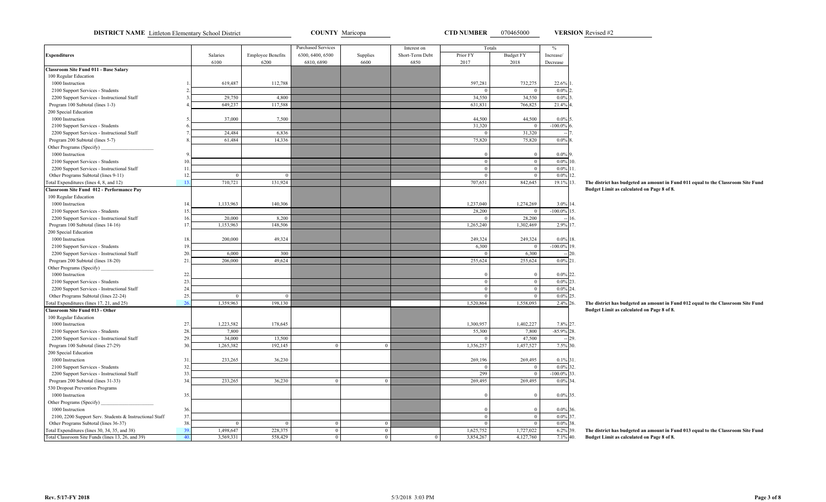**DISTRICT NAME** Littleton Elementary School District **COUNTY Maricopa COUNTY Maricopa CTD NUMBER** 070465000 **VERSION** Revised #2

**VERSION**

|                                                         |     |              |                          | <b>Purchased Services</b> |                | Interest on     |              | Totals                         | $\frac{0}{6}$  |               |
|---------------------------------------------------------|-----|--------------|--------------------------|---------------------------|----------------|-----------------|--------------|--------------------------------|----------------|---------------|
| <b>Expenditures</b>                                     |     | Salaries     | <b>Employee Benefits</b> | 6300, 6400, 6500          | Supplies       | Short-Term Debt | Prior FY     | <b>Budget FY</b>               | Increase/      |               |
|                                                         |     | 6100         | 6200                     | 6810, 6890                | 6600           | 6850            | 2017         | 2018                           | Decrease       |               |
| Classroom Site Fund 011 - Base Salary                   |     |              |                          |                           |                |                 |              |                                |                |               |
| 100 Regular Education                                   |     |              |                          |                           |                |                 |              |                                |                |               |
| 1000 Instruction                                        |     | 619,487      | 112,788                  |                           |                |                 | 597,281      | 732,275                        | 22.6% 1        |               |
| 2100 Support Services - Students                        |     |              |                          |                           |                |                 |              | $\Omega$                       | 0.0%           |               |
| 2200 Support Services - Instructional Staff             | -3  | 29,750       | 4,800                    |                           |                |                 | 34,550       | 34,550                         | 0.0%           |               |
| Program 100 Subtotal (lines 1-3)                        |     | 649,237      | 117,588                  |                           |                |                 | 631,831      | 766,825                        | 21.4% 4.       |               |
| 200 Special Education                                   |     |              |                          |                           |                |                 |              |                                |                |               |
| 1000 Instruction                                        |     | 37,000       | 7,500                    |                           |                |                 | 44,500       | 44,500                         | $0.0\%$ 5.     |               |
| 2100 Support Services - Students                        |     |              |                          |                           |                |                 | 31,320       | $\overline{0}$                 | $-100.0%$      |               |
| 2200 Support Services - Instructional Staff             |     | 24,484       | 6,836                    |                           |                |                 | $\mathbf{0}$ | 31,320                         |                |               |
| Program 200 Subtotal (lines 5-7)                        |     | 61,484       | 14,336                   |                           |                |                 | 75,820       | 75,820                         | 0.0%           |               |
| Other Programs (Specify)                                |     |              |                          |                           |                |                 |              |                                |                |               |
| 1000 Instruction                                        | q   |              |                          |                           |                |                 | $\Omega$     | $\mathbf{0}$                   | $0.0\%$ 9.     |               |
| 2100 Support Services - Students                        | 10  |              |                          |                           |                |                 | $\mathbf{0}$ | $\mathbf{0}$                   | $0.0\%$        | 10.           |
| 2200 Support Services - Instructional Staff             | 11  |              |                          |                           |                |                 | $\mathbf{0}$ | $\mathbf{0}$                   | $0.0\%$ 11.    |               |
| Other Programs Subtotal (lines 9-11)                    | 12. | $\mathbf{0}$ | $\mathbf{0}$             |                           |                |                 | $\mathbf{0}$ | $\mathbf{0}$                   | 0.0%           | 12.           |
| Total Expenditures (lines 4, 8, and 12)                 | 13  | 710,721      | 131,924                  |                           |                |                 | 707,651      | 842,645                        | 19.1% 13.      | The dist      |
| Classroom Site Fund 012 - Performance Pay               |     |              |                          |                           |                |                 |              |                                |                | <b>Budget</b> |
| 100 Regular Education                                   |     |              |                          |                           |                |                 |              |                                |                |               |
| 1000 Instruction                                        | 14  | 1,133,963    | 140,306                  |                           |                |                 | 1,237,040    | 1,274,269                      | 3.0% 14.       |               |
| 2100 Support Services - Students                        | 15  |              |                          |                           |                |                 | 28,200       | $\overline{0}$                 | $-100.0\%$ 15. |               |
| 2200 Support Services - Instructional Staff             | 16  | 20,000       | 8,200                    |                           |                |                 | $\Omega$     | 28,200                         |                | 16.           |
| Program 100 Subtotal (lines 14-16)                      | 17  | 1,153,963    | 148,506                  |                           |                |                 | 1,265,240    | 1,302,469                      | 2.9%           | 17.           |
| 200 Special Education                                   |     |              |                          |                           |                |                 |              |                                |                |               |
| 1000 Instruction                                        | 18  | 200,000      | 49,324                   |                           |                |                 | 249,324      | 249,324                        | $0.0\%$ 18.    |               |
| 2100 Support Services - Students                        | 19  |              |                          |                           |                |                 | 6,300        |                                | $-100.0\%$ 19. |               |
| 2200 Support Services - Instructional Staff             | 20. | 6,000        | 300                      |                           |                |                 | $\mathbf{0}$ | 6,300                          |                | 20.           |
| Program 200 Subtotal (lines 18-20)                      | 21  | 206,000      | 49,624                   |                           |                |                 | 255,624      | 255,624                        | $0.0\%$ 21.    |               |
|                                                         |     |              |                          |                           |                |                 |              |                                |                |               |
| Other Programs (Specify)<br>1000 Instruction            | 22  |              |                          |                           |                |                 | $\mathbf{0}$ | $\mathbf{0}$                   | $0.0\%$ 22.    |               |
|                                                         |     |              |                          |                           |                |                 | $\theta$     | $\mathbf{0}$                   | 0.0%           | 23.           |
| 2100 Support Services - Students                        | 23  |              |                          |                           |                |                 |              |                                |                |               |
| 2200 Support Services - Instructional Staff             | 24  |              |                          |                           |                |                 | $\mathbf{0}$ | $\mathbf{0}$<br>$\overline{0}$ | 0.0%<br>0.0%   | 24.           |
| Other Programs Subtotal (lines 22-24)                   | 25  | $\mathbf{0}$ | $\Omega$                 |                           |                |                 | $\mathbf{0}$ |                                |                | 25.           |
| Total Expenditures (lines 17, 21, and 25)               | 26  | 1,359,963    | 198,130                  |                           |                |                 | 1,520,864    | 1,558,093                      | 2.4% 26.       | The dist      |
| Classroom Site Fund 013 - Other                         |     |              |                          |                           |                |                 |              |                                |                | <b>Budget</b> |
| 100 Regular Education                                   |     |              |                          |                           |                |                 |              |                                |                |               |
| 1000 Instruction                                        | 27  | 1,223,582    | 178,645                  |                           |                |                 | 1,300,957    | 1,402,227                      | 7.8% 27.       |               |
| 2100 Support Services - Students                        | 28  | 7,800        |                          |                           |                |                 | 55,300       | 7,800                          | $-85.9%$       | 28.           |
| 2200 Support Services - Instructional Staff             | 29. | 34,000       | 13,500                   |                           |                |                 | $\mathbf{0}$ | 47,500                         |                | 29.           |
| Program 100 Subtotal (lines 27-29)                      | 30. | 1,265,382    | 192,145                  | $\Omega$                  | $\theta$       |                 | 1,356,257    | 1,457,527                      | 7.5% 30.       |               |
| 200 Special Education                                   |     |              |                          |                           |                |                 |              |                                |                |               |
| 1000 Instruction                                        | 31  | 233,265      | 36,230                   |                           |                |                 | 269,196      | 269,495                        | $0.1\%$ 31.    |               |
| 2100 Support Services - Students                        | 32  |              |                          |                           |                |                 |              | $\mathbf{0}$                   | 0.0%           | 32.           |
| 2200 Support Services - Instructional Staff             | 33. |              |                          |                           |                |                 | 299          | $\mathbf{0}$                   | $-100.0%$      | 33.           |
| Program 200 Subtotal (lines 31-33)                      | 34  | 233,265      | 36,230                   | $\mathbf{0}$              | $\bf{0}$       |                 | 269,495      | 269,495                        | 0.0% 34.       |               |
| 530 Dropout Prevention Programs                         |     |              |                          |                           |                |                 |              |                                |                |               |
| 1000 Instruction                                        | 35  |              |                          |                           |                |                 | $\theta$     | $\mathbf{0}$                   | $0.0\%$ 35.    |               |
| Other Programs (Specify)                                |     |              |                          |                           |                |                 |              |                                |                |               |
| 1000 Instruction                                        | 36. |              |                          |                           |                |                 | $\Omega$     | $\Omega$                       | $0.0\%$ 36.    |               |
| 2100, 2200 Support Serv. Students & Instructional Staff | 37. |              |                          |                           |                |                 | $\mathbf{0}$ | $\mathbf{0}$                   | 0.0%           | 37.           |
| Other Programs Subtotal (lines 36-37)                   | 38. | $\mathbf{0}$ | $\Omega$                 | $\bf{0}$                  | $\bf{0}$       |                 | $\mathbf{0}$ | $\mathbf{0}$                   | $0.0\%$        | 38.           |
| Total Expenditures (lines 30, 34, 35, and 38)           | 39  | 1,498,647    | 228,375                  | $\mathbf{0}$              | $\theta$       |                 | 1,625,752    | 1,727,022                      | 6.2% 39.       | The dist      |
| Total Classroom Site Funds (lines 13, 26, and 39)       | 40  | 3,569,331    | 558,429                  | $\overline{0}$            | $\overline{0}$ | $\mathbf{0}$    | 3,854,267    | 4,127,760                      | $7.1\%$ 40.    | <b>Budget</b> |

**The district has budgeted an amount in Fund 011 equal to the Classroom Site Fund Budget Limit as calculated on Page 8 of 8.**

**The district has budgeted an amount in Fund 012 equal to the Classroom Site Fund Budget Limit as calculated on Page 8 of 8.**

**The district has budgeted an amount in Fund 013 equal to the Classroom Site Fund Budget Limit as calculated on Page 8 of 8.**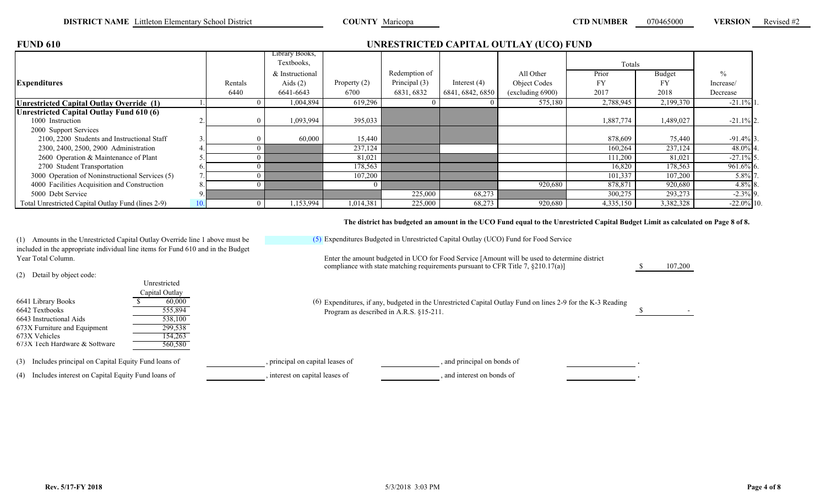| <b>FUND 610</b>                                    |     |         | UNRESTRICTED CAPITAL OUTLAY (UCO) FUND |              |               |                  |                  |           |           |               |  |  |  |
|----------------------------------------------------|-----|---------|----------------------------------------|--------------|---------------|------------------|------------------|-----------|-----------|---------------|--|--|--|
|                                                    |     |         | Library Books,<br>Textbooks,           |              |               |                  |                  | Totals    |           |               |  |  |  |
|                                                    |     |         | & Instructional                        |              | Redemption of |                  | All Other        | Prior     | Budget    | $\frac{0}{0}$ |  |  |  |
| <b>Expenditures</b>                                |     | Rentals | Aids $(2)$                             | Property (2) | Principal (3) | Interest $(4)$   | Object Codes     | <b>FY</b> |           | Increase/     |  |  |  |
|                                                    |     | 6440    | 6641-6643                              | 6700         | 6831, 6832    | 6841, 6842, 6850 | (excluding 6900) | 2017      | 2018      | Decrease      |  |  |  |
| <b>Unrestricted Capital Outlay Override (1)</b>    |     |         | 1,004,894                              | 619,296      |               |                  | 575,180          | 2,788,945 | 2,199,370 | $-21.1\%$     |  |  |  |
| <b>Unrestricted Capital Outlay Fund 610 (6)</b>    |     |         |                                        |              |               |                  |                  |           |           |               |  |  |  |
| 1000 Instruction                                   |     |         | 1,093,994                              | 395,033      |               |                  |                  | 1,887,774 | 1,489,027 | $-21.1\%$ 2.  |  |  |  |
| 2000 Support Services                              |     |         |                                        |              |               |                  |                  |           |           |               |  |  |  |
| 2100, 2200 Students and Instructional Staff        | 3.  |         | 60,000                                 | 15,440       |               |                  |                  | 878,609   | 75,440    | $-91.4\%$ 3.  |  |  |  |
| 2300, 2400, 2500, 2900 Administration              |     |         |                                        | 237,124      |               |                  |                  | 160,264   | 237,124   | 48.0% 4       |  |  |  |
| 2600 Operation & Maintenance of Plant              |     |         |                                        | 81,021       |               |                  |                  | 111,200   | 81,021    | $-27.1\%$ 5   |  |  |  |
| 2700 Student Transportation                        | O.  |         |                                        | 178,563      |               |                  |                  | 16,820    | 178,563   | $961.6\%$ 6.  |  |  |  |
| 3000 Operation of Noninstructional Services (5)    |     |         |                                        | 107,200      |               |                  |                  | 101,337   | 107,200   | 5.8% 7        |  |  |  |
| 4000 Facilities Acquisition and Construction       | 8.  |         |                                        |              |               |                  | 920,680          | 878,871   | 920,680   | $4.8\%$ 8.    |  |  |  |
| 5000 Debt Service                                  |     |         |                                        |              | 225,000       | 68,273           |                  | 300,275   | 293,273   | $-2.3\%$ 9.   |  |  |  |
| Total Unrestricted Capital Outlay Fund (lines 2-9) | 10. |         | 1,153,994                              | 1,014,381    | 225,000       | 68,273           | 920,680          | 4,335,150 | 3,382,328 | $-22.0\%$ 10. |  |  |  |

**The district has budgeted an amount in the UCO Fund equal to the Unrestricted Capital Budget Limit as calculated on Page 8 of 8.**

(1) Amounts in the Unrestricted Capital Outlay Override line 1 above must be included in the appropriate individual line items for Fund 610 and in the Budget Year Total Column.

(2) Detail by object code:

| $\sqrt{2}$                    | Unrestricted<br>Capital Outlay |     |
|-------------------------------|--------------------------------|-----|
| 6641 Library Books            | 60,000                         | (6) |
| 6642 Textbooks                | 555,894                        |     |
| 6643 Instructional Aids       | 538,100                        |     |
| 673X Furniture and Equipment  | 299.538                        |     |
| 673X Vehicles                 | 154.263                        |     |
| 673X Tech Hardware & Software | 560.580                        |     |

(3) Includes principal on Capital Equity Fund loans of , principal on capital leases of , and principal on bonds of

(4) Includes interest on Capital Equity Fund loans of , interest on capital leases of , and interest on bonds of

(5) Expenditures Budgeted in Unrestricted Capital Outlay (UCO) Fund for Food Service

compliance with state matching requirements pursuant to CFR Title 7,  $\S210.17(a)$ ] Enter the amount budgeted in UCO for Food Service [Amount will be used to determine district

\$ 107,200

6642 Textbooks  $\overline{\hspace{1cm}}$  555,894 Expenditures, if any, budgeted in the Unrestricted Capital Outlay Fund on lines 2-9 for the K-3 Reading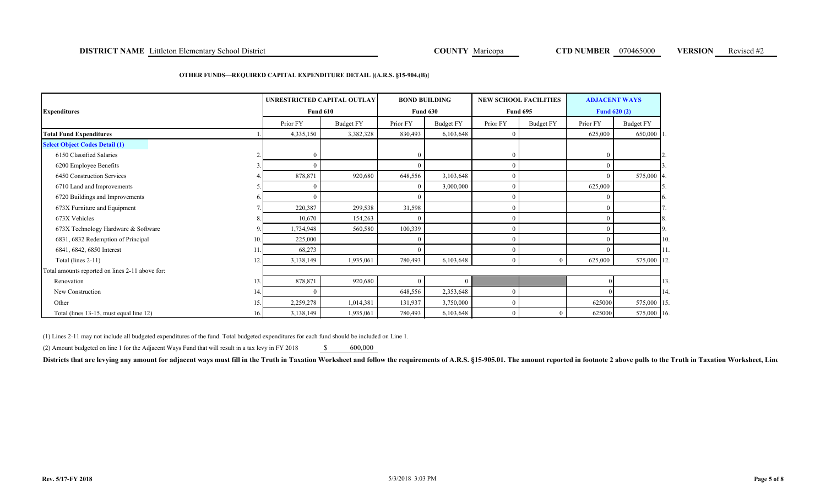### **DISTRICT NAME** Littleton Elementary School District **COUNTY Maricopa COUNTY Maricopa CTD NUMBER** 070465000 **VERSION** Revised #2

#### **OTHER FUNDS—REQUIRED CAPITAL EXPENDITURE DETAIL [(A.R.S. §15-904.(B)]**

| <b>Expenditures</b>                             |     | <b>Fund 610</b> | UNRESTRICTED CAPITAL OUTLAY |          | <b>BOND BUILDING</b><br><b>Fund 630</b> |          | <b>NEW SCHOOL FACILITIES</b><br><b>Fund 695</b> |          | <b>ADJACENT WAYS</b><br><b>Fund 620 (2)</b> |
|-------------------------------------------------|-----|-----------------|-----------------------------|----------|-----------------------------------------|----------|-------------------------------------------------|----------|---------------------------------------------|
|                                                 |     | Prior FY        | <b>Budget FY</b>            | Prior FY | Budget FY                               | Prior FY | Budget FY                                       | Prior FY | <b>Budget FY</b>                            |
| <b>Total Fund Expenditures</b>                  |     | 4,335,150       | 3,382,328                   | 830,493  | 6,103,648                               | $\Omega$ |                                                 | 625,000  | 650,000 1                                   |
| <b>Select Object Codes Detail (1)</b>           |     |                 |                             |          |                                         |          |                                                 |          |                                             |
| 6150 Classified Salaries                        |     |                 |                             |          |                                         | $\theta$ |                                                 |          |                                             |
| 6200 Employee Benefits                          |     |                 |                             |          |                                         | $\theta$ |                                                 |          |                                             |
| 6450 Construction Services                      |     | 878,871         | 920,680                     | 648,556  | 3,103,648                               | $\theta$ |                                                 |          | 575,000<br>-14                              |
| 6710 Land and Improvements                      |     |                 |                             |          | 3,000,000                               | $\Omega$ |                                                 | 625,000  |                                             |
| 6720 Buildings and Improvements                 |     |                 |                             |          |                                         | $\Omega$ |                                                 |          | 16.                                         |
| 673X Furniture and Equipment                    |     | 220,387         | 299,538                     | 31,598   |                                         | $\theta$ |                                                 |          |                                             |
| 673X Vehicles                                   |     | 10,670          | 154,263                     |          |                                         | $\Omega$ |                                                 |          | 8.                                          |
| 673X Technology Hardware & Software             | 9   | 1,734,948       | 560,580                     | 100,339  |                                         | $\Omega$ |                                                 |          | 9                                           |
| 6831, 6832 Redemption of Principal              | 10. | 225,000         |                             |          |                                         | $\Omega$ |                                                 |          | 10                                          |
| 6841, 6842, 6850 Interest                       |     | 68,273          |                             |          |                                         | $\Omega$ |                                                 |          | 11                                          |
| Total (lines $2-11$ )                           | 12. | 3,138,149       | 1,935,061                   | 780,493  | 6,103,648                               | $\theta$ | $\theta$                                        | 625,000  | 575,000 12                                  |
| Total amounts reported on lines 2-11 above for: |     |                 |                             |          |                                         |          |                                                 |          |                                             |
| Renovation                                      | 13. | 878,871         | 920,680                     |          | $\Omega$                                |          |                                                 |          | 13                                          |
| New Construction                                | 14. |                 |                             | 648,556  | 2,353,648                               | $\Omega$ |                                                 |          | 14                                          |
| Other                                           | 15. | 2,259,278       | 1,014,381                   | 131,937  | 3,750,000                               | $\Omega$ |                                                 | 625000   | 575,000 15                                  |
| Total (lines 13-15, must equal line 12)         | 16. | 3,138,149       | 1,935,061                   | 780,493  | 6,103,648                               | $\theta$ | 0                                               | 625000   | 575,000 16                                  |

(1) Lines 2-11 may not include all budgeted expenditures of the fund. Total budgeted expenditures for each fund should be included on Line 1.

(2) Amount budgeted on line 1 for the Adjacent Ways Fund that will result in a tax levy in FY 2018  $\qquad$  \$ 600,000

Districts that are levying any amount for adjacent ways must fill in the Truth in Taxation Worksheet and follow the requirements of A.R.S. §15-905.01. The amount reported in footnote 2 above pulls to the Truth in Taxation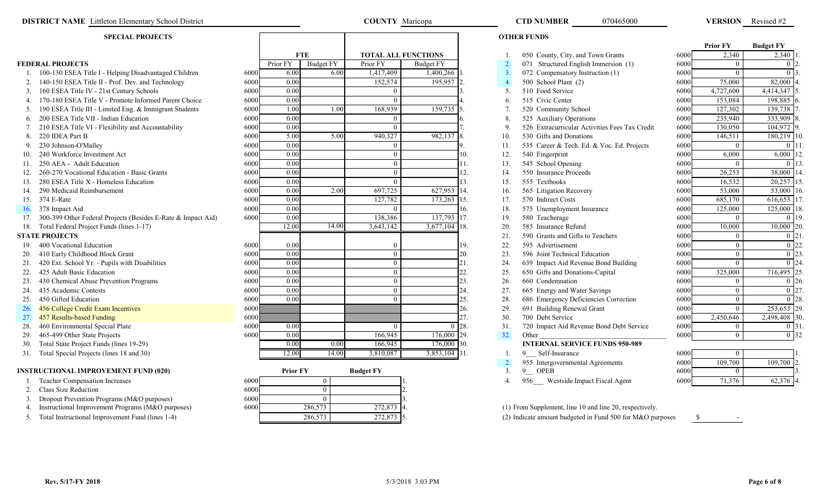### **DISTRICT NAME** Littleton Elementary School District **COUNTY COUNTY Maricopa COUNTY Maricopa CTD NUMBER** 070465000 **VERSION**

#### **SPECIAL PROJECTS**

|     |                                                                  |      |                   |                  |                            |                  |     |                  |                                                         |      | <b>Prior FY</b> | <b>Budget FY</b> |  |
|-----|------------------------------------------------------------------|------|-------------------|------------------|----------------------------|------------------|-----|------------------|---------------------------------------------------------|------|-----------------|------------------|--|
|     |                                                                  |      |                   | <b>FTE</b>       | <b>TOTAL ALL FUNCTIONS</b> |                  |     |                  | 050 County, City, and Town Grants                       | 6000 | 2,340           | 2,340            |  |
|     | <b>FEDERAL PROJECTS</b>                                          |      | Prior FY          | <b>Budget FY</b> | Prior FY                   | <b>Budget FY</b> |     | 2.               | 071 Structured English Immersion (1)                    | 6000 | $\theta$        | 0 <sup>17</sup>  |  |
|     | 100-130 ESEA Title I - Helping Disadvantaged Children            | 6000 | 6.00              | 6.00             | 1,417,409                  | 1,400,266        |     | 3.               | 072 Compensatory Instruction (1)                        | 6000 | $\Omega$        | $\Omega$ -       |  |
|     | 2. 140-150 ESEA Title II - Prof. Dev. and Technology             | 6000 | 0.00              |                  | 152,574                    | 195,957          |     | $\overline{4}$ . | 500 School Plant (2)                                    | 6000 | 75,000          | 82,000           |  |
|     | 3. 160 ESEA Title IV - 21st Century Schools                      | 6000 | 0.00              |                  |                            |                  |     | 5.               | 510 Food Service                                        | 6000 | 4,727,600       | 4,414,347        |  |
|     | 4. 170-180 ESEA Title V - Promote Informed Parent Choice         | 6000 | 0.00              |                  |                            |                  |     | 6.               | 515 Civic Center                                        | 6000 | 153,084         | 198,885          |  |
|     | 5. 190 ESEA Title III - Limited Eng. & Immigrant Students        | 6000 | 1.00              | 1.00             | 168,939                    | 159,735          |     | 7.               | 520 Community School                                    | 6000 | 127,302         | 139,738          |  |
|     | 6. 200 ESEA Title VII - Indian Education                         | 6000 | 0.00              |                  |                            |                  |     | 8                | 525 Auxiliary Operations                                | 6000 | 235,940         | 333,909          |  |
| 7.  | 210 ESEA Title VI - Flexibility and Accountability               | 6000 | $\overline{0.00}$ |                  |                            |                  |     | 9.               | 526 Extracurricular Activities Fees Tax Credit          | 6000 | 130,050         | 104,972          |  |
| 8.  | 220 IDEA Part B                                                  | 6000 | 5.00              | 5.00             | 940,327                    | 982,137          |     | 10.              | 530 Gifts and Donations                                 | 6000 | 146,511         | 180,219          |  |
| 9.  | 230 Johnson-O'Malley                                             | 6000 | 0.00              |                  |                            |                  |     | 11.              | 535 Career & Tech. Ed. & Voc. Ed. Projects              | 6000 | $\theta$        |                  |  |
|     | 240 Workforce Investment Act                                     | 6000 | 0.00              |                  | $\Omega$                   |                  | 10. | 12.              | 540 Fingerprint                                         | 6000 | 6,000           | 6,000            |  |
| 11. | 250 AEA - Adult Education                                        | 6000 | 0.00              |                  | $\Omega$                   |                  | 11. | 13.              | 545 School Opening                                      | 6000 | $\theta$        | $\Omega$ 1       |  |
|     | 260-270 Vocational Education - Basic Grants                      | 6000 | 0.00              |                  | $\Omega$                   |                  | 12. | 14.              | 550 Insurance Proceeds                                  | 6000 | 26,253          | 38,000 1         |  |
|     | 280 ESEA Title X - Homeless Education                            | 6000 | 0.00              |                  | $\Omega$                   |                  | 13. | 15.              | 555 Textbooks                                           | 6000 | 16,532          | 20,257           |  |
|     | 14. 290 Medicaid Reimbursement                                   | 6000 | 0.00              | 2.00             | 697,725                    | 627,953          |     | 16.              | 565 Litigation Recovery                                 | 6000 | 53,000          | 53,000           |  |
|     | 15. 374 E-Rate                                                   | 6000 | 0.00              |                  | 127,782                    | $173,263$ 15.    |     | 17.              | 570 Indirect Costs                                      | 6000 | 685,170         | 616,653          |  |
| 16. | 378 Impact Aid                                                   | 6000 | 0.00              |                  |                            |                  | 16. | 18.              | 575 Unemployment Insurance                              | 6000 | 125,000         | 125,000          |  |
|     | 17. 300-399 Other Federal Projects (Besides E-Rate & Impact Aid) | 6000 | 0.00              |                  | 138,386                    | 137,793 17.      |     | 19.              | 580 Teacherage                                          | 6000 | $\theta$        | 0.119            |  |
|     | 18. Total Federal Project Funds (lines 1-17)                     |      | 12.00             | 14.00            | 3,643,142                  | $3,677,104$ 18.  |     | 20.              | 585 Insurance Refund                                    | 6000 | 10,000          | 10,000 20        |  |
|     | <b>STATE PROJECTS</b>                                            |      |                   |                  |                            |                  |     | 21.              | 590 Grants and Gifts to Teachers                        | 6000 | $\theta$        | 0 <sub>12</sub>  |  |
|     | 19. 400 Vocational Education                                     | 6000 | 0.00              |                  |                            |                  | 19. | 22.              | 595 Advertisement                                       | 6000 | $\theta$        |                  |  |
|     | 410 Early Childhood Block Grant                                  | 6000 | 0.00              |                  | $\Omega$                   |                  | 20. | 23.              | 596 Joint Technical Education                           | 6000 | $\overline{0}$  |                  |  |
| 21. | 420 Ext. School Yr. - Pupils with Disabilities                   | 6000 | 0.00              |                  | $\Omega$                   |                  | 21. | 24.              | 639 Impact Aid Revenue Bond Building                    | 6000 | $\overline{0}$  | n la             |  |
| 22. | 425 Adult Basic Education                                        | 6000 | 0.00              |                  |                            |                  | 22. | 25.              | 650 Gifts and Donations-Capital                         | 6000 | 325,000         | 716,495          |  |
| 23. | 430 Chemical Abuse Prevention Programs                           | 6000 | $\overline{0.00}$ |                  | $\Omega$                   |                  | 23. | 26.              | 660 Condemnation                                        | 6000 | $\Omega$        | 0 E              |  |
| 24. | 435 Academic Contests                                            | 6000 | 0.00              |                  |                            |                  | 24. | 27.              | 665 Energy and Water Savings                            | 6000 | $\overline{0}$  |                  |  |
| 25. | 450 Gifted Education                                             | 6000 | 0.00              |                  |                            |                  | 25. | 28.              | 686 Emergency Deficiencies Correction                   | 6000 | $\overline{0}$  |                  |  |
| 26. | 456 College Credit Exam Incentives                               | 6000 |                   |                  |                            |                  | 26. | 29.              | 691 Building Renewal Grant                              | 6000 | $\theta$        | 253,653 29       |  |
| 27. | 457 Results-based Funding                                        | 6000 |                   |                  |                            |                  | 27. | 30.              | 700 Debt Service                                        | 6000 | 2,450,646       | 2,498,408 30     |  |
| 28. | 460 Environmental Special Plate                                  | 6000 | 0.00              |                  |                            | $\Omega$         | 28. | 31.              | 720 Impact Aid Revenue Bond Debt Service                | 6000 | $\overline{0}$  | 0 <sub>13</sub>  |  |
| 29. | 465-499 Other State Projects                                     | 6000 | 0.00              |                  | 166,945                    | 176,000 29.      |     | 32.              | Other                                                   | 6000 | $\theta$        | 0.132            |  |
|     | 30. Total State Project Funds (lines 19-29)                      |      | 0.00              | 0.00             | 166,945                    | 176,000 30.      |     |                  | <b>INTERNAL SERVICE FUNDS 950-989</b>                   |      |                 |                  |  |
|     | 31. Total Special Projects (lines 18 and 30)                     |      | 12.00             | 14.00            | 3,810,087                  | 3,853,104 31.    |     |                  | 9 Self-Insurance                                        | 6000 | $\overline{0}$  |                  |  |
|     |                                                                  |      |                   |                  |                            |                  |     | 2.               | 955 Intergovernmental Agreements                        | 6000 | 109,700         | 109,700          |  |
|     | <b>INSTRUCTIONAL IMPROVEMENT FUND (020)</b>                      |      | <b>Prior FY</b>   |                  | <b>Budget FY</b>           |                  |     | 3.               | 9 OPEB                                                  | 6000 | $\theta$        |                  |  |
|     | Teacher Compensation Increases                                   | 6000 |                   | $\mathbf{0}$     |                            |                  |     | 4.               | 956 Westside Impact Fiscal Agent                        | 6000 | 71,376          | 62,376 4         |  |
| 2.  | Class Size Reduction                                             | 6000 |                   | $\theta$         |                            |                  |     |                  |                                                         |      |                 |                  |  |
|     | Dropout Prevention Programs (M&O purposes)                       | 6000 |                   | $\Omega$         |                            |                  |     |                  |                                                         |      |                 |                  |  |
| 4.  | Instructional Improvement Programs (M&O purposes)                | 6000 |                   | 286,573          | 272,873                    |                  |     |                  | (1) From Supplement, line 10 and line 20, respectively. |      |                 |                  |  |

286,573

| 1.  | 050 County, City, and Town Grants              | 6000 | 2,340     | 2,340 1.          |                |
|-----|------------------------------------------------|------|-----------|-------------------|----------------|
| 2.  | 071 Structured English Immersion (1)           | 6000 | $\theta$  | $\overline{0}$ 2. |                |
| 3.  | 072 Compensatory Instruction (1)               | 6000 | $\theta$  | $\theta$          | $\mathsf{B}.$  |
| 4.  | 500 School Plant (2)                           | 6000 | 75,000    | 82,000            | 4.             |
| 5.  | 510 Food Service                               | 6000 | 4,727,600 | 4,414,347         | 5.             |
| 6.  | 515 Civic Center                               | 6000 | 153,084   | 198,885 6.        |                |
| 7.  | 520 Community School                           | 6000 | 127,302   | 139,738           | 7.             |
| 8.  | 525 Auxiliary Operations                       | 6000 | 235,940   | 333,909 8.        |                |
| 9.  | 526 Extracurricular Activities Fees Tax Credit | 6000 | 130,050   | 104,972 9.        |                |
| 10. | 530 Gifts and Donations                        | 6000 | 146,511   | 180,219 10        |                |
| 11. | 535 Career & Tech. Ed. & Voc. Ed. Projects     | 6000 | $\theta$  | $\theta$          | 1              |
| 12. | 540 Fingerprint                                | 6000 | 6,000     | 6,000             | $ 1\rangle$    |
| 13. | 545 School Opening                             | 6000 | $\theta$  | $\theta$          | $\vert$ 13     |
| 14. | 550 Insurance Proceeds                         | 6000 | 26,253    | 38,000 14         |                |
| 15. | 555 Textbooks                                  | 6000 | 16,532    | 20,257            | $\vert$ 1:     |
| 16. | 565 Litigation Recovery                        | 6000 | 53,000    | 53,000 1          |                |
| 17. | 570 Indirect Costs                             | 6000 | 685,170   | 616,653           | 1'             |
| 18. | 575 Unemployment Insurance                     | 6000 | 125,000   | 125,000           | $\vert$ 1      |
| 19. | 580 Teacherage                                 | 6000 | $\theta$  | $\theta$          | 1 <sup>1</sup> |
| 20. | 585 Insurance Refund                           | 6000 | 10,000    | 10,000            | $\overline{2}$ |
| 21. | 590 Grants and Gifts to Teachers               | 6000 | $\theta$  | $\mathbf{0}$      | $\overline{2}$ |
| 22. | 595 Advertisement                              | 6000 | $\theta$  | $\overline{0}$    | 2 <sup>2</sup> |
| 23. | 596 Joint Technical Education                  | 6000 | $\theta$  | $\overline{0}$    | 2 <sup>2</sup> |
| 24. | 639 Impact Aid Revenue Bond Building           | 6000 | $\theta$  | $\theta$          | $\overline{2}$ |
| 25. | 650 Gifts and Donations-Capital                | 6000 | 325,000   | 716,495           | 2:             |
| 26. | 660 Condemnation                               | 6000 | 0         | 0                 | $\overline{2}$ |
| 27. | 665 Energy and Water Savings                   | 6000 | $\theta$  | 0                 | $2^{\prime}$   |
| 28. | 686 Emergency Deficiencies Correction          | 6000 | $\theta$  | $\Omega$          | $\mathsf{R}$   |
| 29. | 691 Building Renewal Grant                     | 6000 | $\theta$  | 253,653           | 2 <sup>0</sup> |
| 30. | 700 Debt Service                               | 6000 | 2,450,646 | 2,498,408         | $\overline{3}$ |
| 31. | 720 Impact Aid Revenue Bond Debt Service       | 6000 | 0         | $\theta$          | $\mathfrak{Z}$ |
| 32. | Other                                          | 6000 | $\theta$  | $\Omega$          | $\overline{3}$ |
|     | <b>INTERNAL SERVICE FUNDS 950-989</b>          |      |           |                   |                |
| 1.  | 9 Self-Insurance                               | 6000 | $\theta$  |                   | 1.             |
| 2.  | 955 Intergovernmental Agreements               | 6000 | 109,700   | 109,700           | $\overline{2}$ |
| 3.  | <b>OPEB</b><br>9                               | 6000 | $\theta$  |                   | $\overline{3}$ |
| 4.  | 956<br>Westside Impact Fiscal Agent            | 6000 | 71,376    | 62,376 4.         |                |

5. Total Instructional Improvement Fund (lines 1-4) **5.** 286,573 5. 272,873 5. (2) Indicate amount budgeted in Fund 500 for M&O purposes \$

|      | <b>Prior FY</b> | <b>Budget FY</b> |      |
|------|-----------------|------------------|------|
| 5000 | 2,340           | 2,340            | $1.$ |
| 6000 | $\overline{0}$  | $\overline{0}$   | 2.   |
| 6000 | $\theta$        | $\overline{0}$   | 3.   |
| 5000 | 75,000          | 82,000           | 4.   |
| 6000 | 4,727,600       | 4,414,347        | 5.   |
| 6000 | 153,084         | 198,885          | 6.   |
| 5000 | 127,302         | 139,738          | 7.   |
| 6000 | 235,940         | 333,909          | 8.   |
| 5000 | 130,050         | 104,972          | 9.   |
| 6000 | 146,511         | 180,219          | 10.  |
| 6000 | 0               | 0                | 11.  |
| 5000 | 6,000           | 6,000            | 12.  |
| 5000 | 0               | 0                | 13.  |
| 6000 | 26,253          | 38,000           | 14.  |
| 6000 | 16,532          | 20,257           | 15.  |
| 6000 | 53,000          | 53,000           | 16.  |
| 5000 | 685,170         | 616,653          | 17.  |
| 5000 | 125,000         | 125,000          | 18.  |
| 6000 | 0               | 0                | 19.  |
| 6000 | 10,000          | 10,000           | 20.  |
| 6000 | $\overline{0}$  | $\overline{0}$   | 21.  |
| 6000 | $\overline{0}$  | $\overline{0}$   | 22.  |
| 6000 | $\theta$        | $\overline{0}$   | 23.  |
| 6000 | $\theta$        | $\theta$         | 24.  |
| 6000 | 325,000         | 716,495          | 25.  |
| 6000 | $\theta$        | 0                | 26.  |
| 6000 | $\bf{0}$        | $\overline{0}$   | 27.  |
| 6000 | $\overline{0}$  | $\overline{0}$   | 28.  |
| 6000 | $\theta$        | 253,653          | 29.  |
| 6000 | 2,450,646       | 2,498,408        | 30.  |
| 5000 | 0               | 0                | 31.  |
| 5000 | $\overline{0}$  | $\overline{0}$   | 32   |

VERSION Revised #2

| 6000 |         |         |                |
|------|---------|---------|----------------|
| 6000 | 109,700 | 109,700 | 2              |
| 6000 |         |         |                |
| 6000 | 71,376  | 62,376  | $\overline{4}$ |

**Rev. 5/17-FY 2018**

COUNTY Maricopa

**OTHER FUNDS**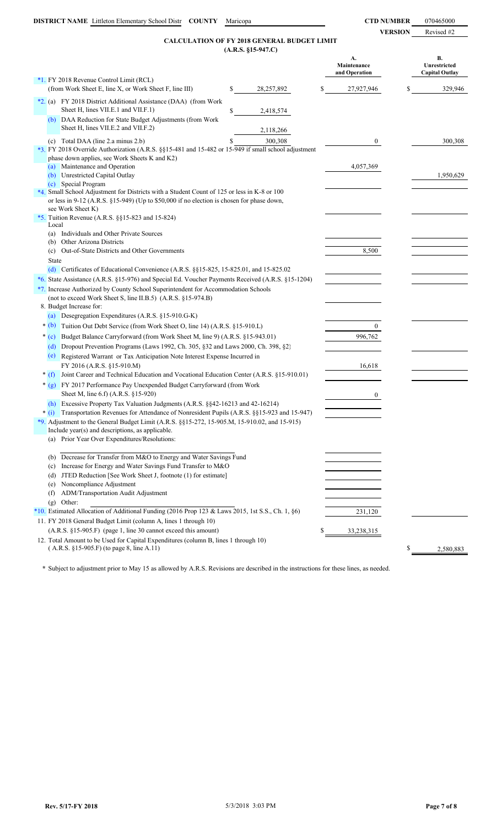**VERSION** Revised #2

### **(A.R.S. §15-947.C) CALCULATION OF FY 2018 GENERAL BUDGET LIMIT**

| $(A.R.S. §15-947.C)$                                                                                                                                                                                          |                                    |                                             |
|---------------------------------------------------------------------------------------------------------------------------------------------------------------------------------------------------------------|------------------------------------|---------------------------------------------|
|                                                                                                                                                                                                               | А.<br>Maintenance<br>and Operation | B.<br>Unrestricted<br><b>Capital Outlay</b> |
| *1. FY 2018 Revenue Control Limit (RCL)                                                                                                                                                                       |                                    |                                             |
| (from Work Sheet E, line X, or Work Sheet F, line III)<br>\$<br>28,257,892                                                                                                                                    | \$<br>27,927,946                   | 329,946<br>\$                               |
| *2. (a) FY 2018 District Additional Assistance (DAA) (from Work<br>Sheet H, lines VII.E.1 and VII.F.1)<br>\$<br>2,418,574                                                                                     |                                    |                                             |
| (b) DAA Reduction for State Budget Adjustments (from Work<br>Sheet H, lines VII.E.2 and VII.F.2)<br>2,118,266                                                                                                 |                                    |                                             |
| (c) Total DAA (line 2.a minus 2.b)<br>\$<br>300,308<br>*3. FY 2018 Override Authorization (A.R.S. §§15-481 and 15-482 or 15-949 if small school adjustment<br>phase down applies, see Work Sheets K and K2)   | $\mathbf{0}$                       | 300,308                                     |
| Maintenance and Operation<br>(a)<br>(b) Unrestricted Capital Outlay<br>(c) Special Program                                                                                                                    | 4,057,369                          | 1,950,629                                   |
| *4. Small School Adjustment for Districts with a Student Count of 125 or less in K-8 or 100<br>or less in 9-12 (A.R.S. §15-949) (Up to \$50,000 if no election is chosen for phase down,<br>see Work Sheet K) |                                    |                                             |
| *5. Tuition Revenue (A.R.S. §§15-823 and 15-824)<br>Local                                                                                                                                                     |                                    |                                             |
| Individuals and Other Private Sources<br>(a)                                                                                                                                                                  |                                    |                                             |
| Other Arizona Districts<br>(b)                                                                                                                                                                                |                                    |                                             |
| Out-of-State Districts and Other Governments<br>(c)                                                                                                                                                           | 8,500                              |                                             |
| <b>State</b><br>(d) Certificates of Educational Convenience $(A.R.S. \S \S 15-825.01, and 15-825.02)$                                                                                                         |                                    |                                             |
| *6. State Assistance (A.R.S. §15-976) and Special Ed. Voucher Payments Received (A.R.S. §15-1204)                                                                                                             |                                    |                                             |
| *7. Increase Authorized by County School Superintendent for Accommodation Schools                                                                                                                             |                                    |                                             |
| (not to exceed Work Sheet S, line II.B.5) (A.R.S. §15-974.B)                                                                                                                                                  |                                    |                                             |
| 8. Budget Increase for:                                                                                                                                                                                       |                                    |                                             |
| (a) Desegregation Expenditures (A.R.S. §15-910.G-K)                                                                                                                                                           |                                    |                                             |
| $*(b)$<br>Tuition Out Debt Service (from Work Sheet O, line 14) (A.R.S. §15-910.L)                                                                                                                            | $\overline{0}$                     |                                             |
| $*(c)$<br>Budget Balance Carryforward (from Work Sheet M, line 9) (A.R.S. §15-943.01)                                                                                                                         | 996,762                            |                                             |
| Dropout Prevention Programs (Laws 1992, Ch. 305, §32 and Laws 2000, Ch. 398, §2)<br>(d)                                                                                                                       |                                    |                                             |
| (e) Registered Warrant or Tax Anticipation Note Interest Expense Incurred in<br>FY 2016 (A.R.S. §15-910.M)                                                                                                    | 16,618                             |                                             |
| Joint Career and Technical Education and Vocational Education Center (A.R.S. §15-910.01)<br>$*(f)$                                                                                                            |                                    |                                             |
| * (g) FY 2017 Performance Pay Unexpended Budget Carryforward (from Work                                                                                                                                       |                                    |                                             |
| Sheet M, line 6.f) (A.R.S. §15-920)                                                                                                                                                                           | $\overline{0}$                     |                                             |
| (h) Excessive Property Tax Valuation Judgments (A.R.S. §§42-16213 and 42-16214)                                                                                                                               |                                    |                                             |
| * (i) Transportation Revenues for Attendance of Nonresident Pupils (A.R.S. §§15-923 and 15-947)<br>*9. Adjustment to the General Budget Limit (A.R.S. $\S$ §15-272, 15-905.M, 15-910.02, and 15-915)          |                                    |                                             |
| Include year(s) and descriptions, as applicable.                                                                                                                                                              |                                    |                                             |
| (a) Prior Year Over Expenditures/Resolutions:                                                                                                                                                                 |                                    |                                             |
| (b) Decrease for Transfer from M&O to Energy and Water Savings Fund                                                                                                                                           |                                    |                                             |
| Increase for Energy and Water Savings Fund Transfer to M&O<br>(c)                                                                                                                                             |                                    |                                             |
| JTED Reduction [See Work Sheet J, footnote (1) for estimate]<br>(d)                                                                                                                                           |                                    |                                             |
| Noncompliance Adjustment<br>(e)                                                                                                                                                                               |                                    |                                             |
| ADM/Transportation Audit Adjustment<br>(f)                                                                                                                                                                    |                                    |                                             |
| Other:<br>(g)                                                                                                                                                                                                 |                                    |                                             |
| *10. Estimated Allocation of Additional Funding (2016 Prop 123 & Laws 2015, 1st S.S., Ch. 1, §6)                                                                                                              | 231,120                            |                                             |
| 11. FY 2018 General Budget Limit (column A, lines 1 through 10)                                                                                                                                               |                                    |                                             |
| (A.R.S. §15-905.F) (page 1, line 30 cannot exceed this amount)<br>12. Total Amount to be Used for Capital Expenditures (column B, lines 1 through 10)                                                         | \$<br>33,238,315                   |                                             |
| $(A.R.S. §15-905.F)$ (to page 8, line A.11)                                                                                                                                                                   |                                    | \$<br>2,580,883                             |

**\*** Subject to adjustment prior to May 15 as allowed by A.R.S. Revisions are described in the instructions for these lines, as needed.